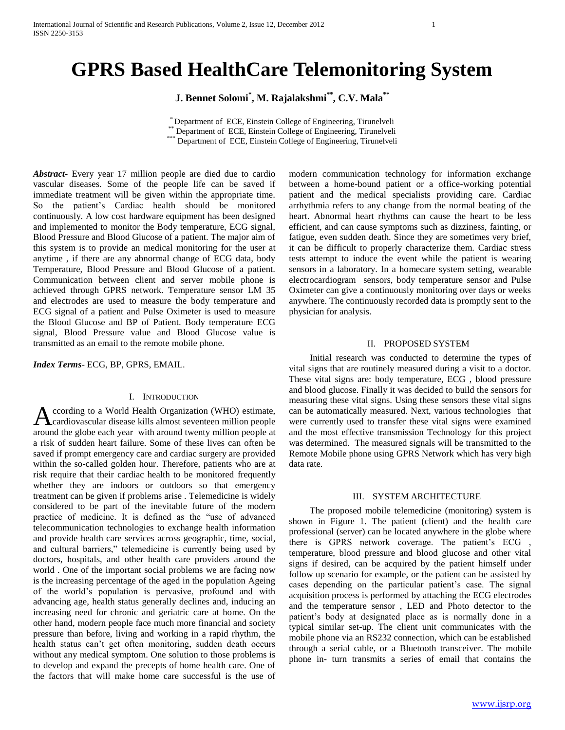# **GPRS Based HealthCare Telemonitoring System**

**J. Bennet Solomi\* , M. Rajalakshmi\*\*, C.V. Mala\*\***

\* Department of ECE, Einstein College of Engineering, Tirunelveli Department of ECE, Einstein College of Engineering, Tirunelveli \*\*\* Department of ECE, Einstein College of Engineering, Tirunelveli

*Abstract***-** Every year 17 million people are died due to cardio vascular diseases. Some of the people life can be saved if immediate treatment will be given within the appropriate time. So the patient's Cardiac health should be monitored continuously. A low cost hardware equipment has been designed and implemented to monitor the Body temperature, ECG signal, Blood Pressure and Blood Glucose of a patient. The major aim of this system is to provide an medical monitoring for the user at anytime , if there are any abnormal change of ECG data, body Temperature, Blood Pressure and Blood Glucose of a patient. Communication between client and server mobile phone is achieved through GPRS network. Temperature sensor LM 35 and electrodes are used to measure the body temperature and ECG signal of a patient and Pulse Oximeter is used to measure the Blood Glucose and BP of Patient. Body temperature ECG signal, Blood Pressure value and Blood Glucose value is transmitted as an email to the remote mobile phone.

*Index Terms*- ECG, BP, GPRS, EMAIL.

## I. INTRODUCTION

ccording to a World Health Organization (WHO) estimate, According to a World Health Organization (WHO) estimate,<br>Acardiovascular disease kills almost seventeen million people around the globe each year with around twenty million people at a risk of sudden heart failure. Some of these lives can often be saved if prompt emergency care and cardiac surgery are provided within the so-called golden hour. Therefore, patients who are at risk require that their cardiac health to be monitored frequently whether they are indoors or outdoors so that emergency treatment can be given if problems arise . Telemedicine is widely considered to be part of the inevitable future of the modern practice of medicine. It is defined as the "use of advanced telecommunication technologies to exchange health information and provide health care services across geographic, time, social, and cultural barriers," telemedicine is currently being used by doctors, hospitals, and other health care providers around the world . One of the important social problems we are facing now is the increasing percentage of the aged in the population Ageing of the world's population is pervasive, profound and with advancing age, health status generally declines and, inducing an increasing need for chronic and geriatric care at home. On the other hand, modern people face much more financial and society pressure than before, living and working in a rapid rhythm, the health status can't get often monitoring, sudden death occurs without any medical symptom. One solution to those problems is to develop and expand the precepts of home health care. One of the factors that will make home care successful is the use of

modern communication technology for information exchange between a home-bound patient or a office-working potential patient and the medical specialists providing care. Cardiac arrhythmia refers to any change from the normal beating of the heart. Abnormal heart rhythms can cause the heart to be less efficient, and can cause symptoms such as dizziness, fainting, or fatigue, even sudden death. Since they are sometimes very brief, it can be difficult to properly characterize them. Cardiac stress tests attempt to induce the event while the patient is wearing sensors in a laboratory. In a homecare system setting, wearable electrocardiogram sensors, body temperature sensor and Pulse Oximeter can give a continuously monitoring over days or weeks anywhere. The continuously recorded data is promptly sent to the physician for analysis.

## II. PROPOSED SYSTEM

 Initial research was conducted to determine the types of vital signs that are routinely measured during a visit to a doctor. These vital signs are: body temperature, ECG , blood pressure and blood glucose. Finally it was decided to build the sensors for measuring these vital signs. Using these sensors these vital signs can be automatically measured. Next, various technologies that were currently used to transfer these vital signs were examined and the most effective transmission Technology for this project was determined. The measured signals will be transmitted to the Remote Mobile phone using GPRS Network which has very high data rate.

#### III. SYSTEM ARCHITECTURE

 The proposed mobile telemedicine (monitoring) system is shown in Figure 1. The patient (client) and the health care professional (server) can be located anywhere in the globe where there is GPRS network coverage. The patient's ECG , temperature, blood pressure and blood glucose and other vital signs if desired, can be acquired by the patient himself under follow up scenario for example, or the patient can be assisted by cases depending on the particular patient's case. The signal acquisition process is performed by attaching the ECG electrodes and the temperature sensor , LED and Photo detector to the patient's body at designated place as is normally done in a typical similar set-up. The client unit communicates with the mobile phone via an RS232 connection, which can be established through a serial cable, or a Bluetooth transceiver. The mobile phone in- turn transmits a series of email that contains the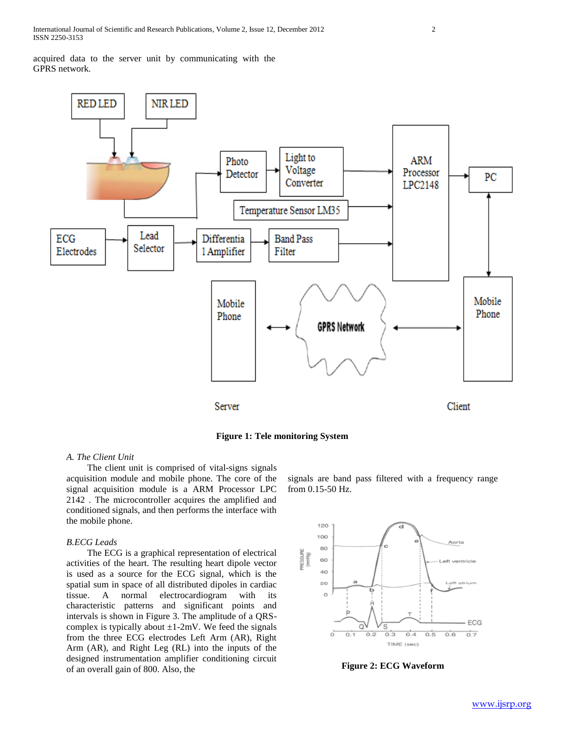acquired data to the server unit by communicating with the GPRS network.



**Figure 1: Tele monitoring System**

## *A. The Client Unit*

 The client unit is comprised of vital-signs signals acquisition module and mobile phone. The core of the signal acquisition module is a ARM Processor LPC 2142 . The microcontroller acquires the amplified and conditioned signals, and then performs the interface with the mobile phone.

## *B.ECG Leads*

 The ECG is a graphical representation of electrical activities of the heart. The resulting heart dipole vector is used as a source for the ECG signal, which is the spatial sum in space of all distributed dipoles in cardiac tissue. A normal electrocardiogram with its characteristic patterns and significant points and intervals is shown in Figure 3. The amplitude of a QRScomplex is typically about  $\pm 1$ -2mV. We feed the signals from the three ECG electrodes Left Arm (AR), Right Arm (AR), and Right Leg (RL) into the inputs of the designed instrumentation amplifier conditioning circuit of an overall gain of 800. Also, the

signals are band pass filtered with a frequency range from 0.15-50 Hz.



**Figure 2: ECG Waveform**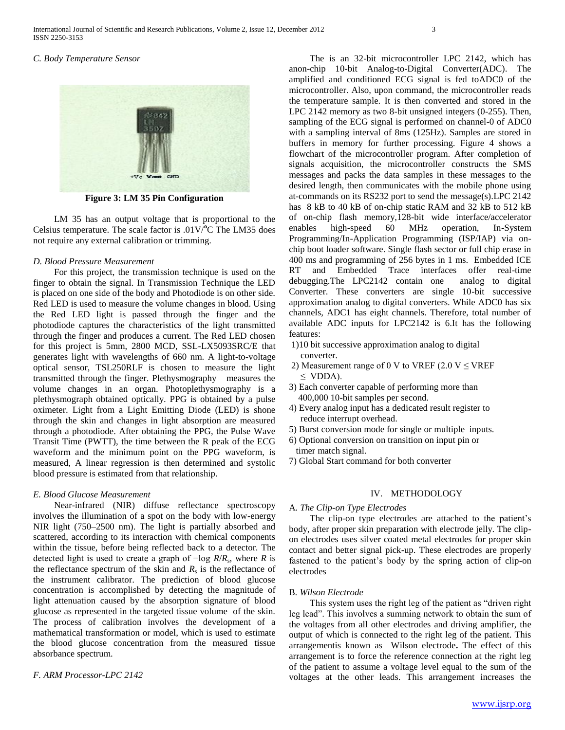## *C. Body Temperature Sensor*



**Figure 3: LM 35 Pin Configuration**

 LM 35 has an output voltage that is proportional to the Celsius temperature. The scale factor is .01V/**<sup>o</sup>**C The LM35 does not require any external calibration or trimming.

### *D. Blood Pressure Measurement*

 For this project, the transmission technique is used on the finger to obtain the signal. In Transmission Technique the LED is placed on one side of the body and Photodiode is on other side. Red LED is used to measure the volume changes in blood. Using the Red LED light is passed through the finger and the photodiode captures the characteristics of the light transmitted through the finger and produces a current. The Red LED chosen for this project is 5mm, 2800 MCD, SSL-LX5093SRC/E that generates light with wavelengths of 660 nm. A light-to-voltage optical sensor, TSL250RLF is chosen to measure the light transmitted through the finger. Plethysmography measures the volume changes in an organ. Photoplethysmography is a plethysmograph obtained optically. PPG is obtained by a pulse oximeter. Light from a Light Emitting Diode (LED) is shone through the skin and changes in light absorption are measured through a photodiode. After obtaining the PPG, the Pulse Wave Transit Time (PWTT), the time between the R peak of the ECG waveform and the minimum point on the PPG waveform, is measured, A linear regression is then determined and systolic blood pressure is estimated from that relationship.

## *E. Blood Glucose Measurement*

 Near-infrared (NIR) diffuse reflectance spectroscopy involves the illumination of a spot on the body with low-energy NIR light (750–2500 nm). The light is partially absorbed and scattered, according to its interaction with chemical components within the tissue, before being reflected back to a detector. The detected light is used to create a graph of −log *R*/*R*<sup>s</sup> , where *R* is the reflectance spectrum of the skin and  $R_s$  is the reflectance of the instrument calibrator. The prediction of blood glucose concentration is accomplished by detecting the magnitude of light attenuation caused by the absorption signature of blood glucose as represented in the targeted tissue volume of the skin. The process of calibration involves the development of a mathematical transformation or model, which is used to estimate the blood glucose concentration from the measured tissue absorbance spectrum.

*F. ARM Processor-LPC 2142*

 The is an 32-bit microcontroller LPC 2142, which has anon-chip 10-bit Analog-to-Digital Converter(ADC). The amplified and conditioned ECG signal is fed toADC0 of the microcontroller. Also, upon command, the microcontroller reads the temperature sample. It is then converted and stored in the LPC 2142 memory as two 8-bit unsigned integers (0-255). Then, sampling of the ECG signal is performed on channel-0 of ADC0 with a sampling interval of 8ms (125Hz). Samples are stored in buffers in memory for further processing. Figure 4 shows a flowchart of the microcontroller program. After completion of signals acquisition, the microcontroller constructs the SMS messages and packs the data samples in these messages to the desired length, then communicates with the mobile phone using at-commands on its RS232 port to send the message(s).LPC 2142 has 8 kB to 40 kB of on-chip static RAM and 32 kB to 512 kB of on-chip flash memory,128-bit wide interface/accelerator enables high-speed 60 MHz operation, In-System Programming/In-Application Programming (ISP/IAP) via onchip boot loader software. Single flash sector or full chip erase in 400 ms and programming of 256 bytes in 1 ms. Embedded ICE RT and Embedded Trace interfaces offer real-time debugging.The LPC2142 contain one analog to digital Converter. These converters are single 10-bit successive approximation analog to digital converters. While ADC0 has six channels, ADC1 has eight channels. Therefore, total number of available ADC inputs for LPC2142 is 6.It has the following features:

- 1)10 bit successive approximation analog to digital converter.
- 2) Measurement range of 0 V to VREF (2.0 V  $\leq$  VREF ≤ VDDA).
- 3) Each converter capable of performing more than 400,000 10-bit samples per second.
- 4) Every analog input has a dedicated result register to reduce interrupt overhead.
- 5) Burst conversion mode for single or multiple inputs.
- 6) Optional conversion on transition on input pin or timer match signal.
- 7) Global Start command for both converter

#### IV. METHODOLOGY

#### A. *The Clip-on Type Electrodes*

 The clip-on type electrodes are attached to the patient's body, after proper skin preparation with electrode jelly. The clipon electrodes uses silver coated metal electrodes for proper skin contact and better signal pick-up. These electrodes are properly fastened to the patient's body by the spring action of clip-on electrodes

#### B*. Wilson Electrode*

 This system uses the right leg of the patient as "driven right leg lead". This involves a summing network to obtain the sum of the voltages from all other electrodes and driving amplifier, the output of which is connected to the right leg of the patient. This arrangementis known as Wilson electrode**.** The effect of this arrangement is to force the reference connection at the right leg of the patient to assume a voltage level equal to the sum of the voltages at the other leads. This arrangement increases the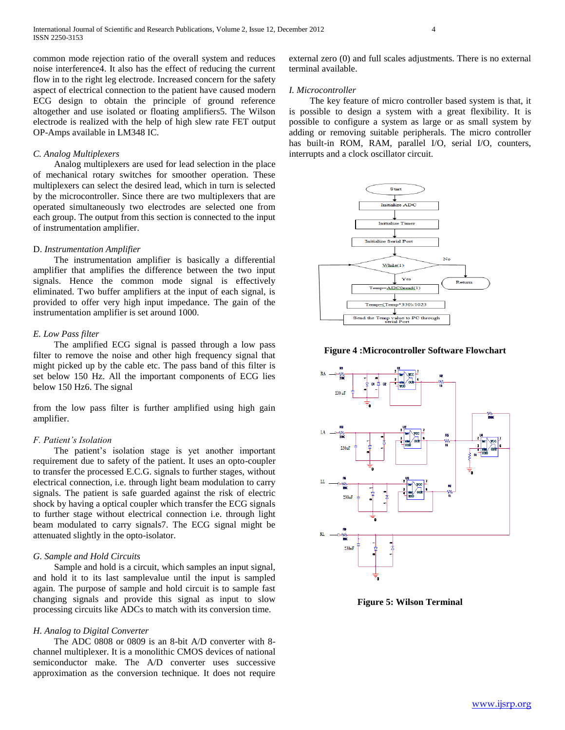common mode rejection ratio of the overall system and reduces noise interference4. It also has the effect of reducing the current flow in to the right leg electrode. Increased concern for the safety aspect of electrical connection to the patient have caused modern ECG design to obtain the principle of ground reference altogether and use isolated or floating amplifiers5. The Wilson electrode is realized with the help of high slew rate FET output OP-Amps available in LM348 IC.

## *C. Analog Multiplexers*

 Analog multiplexers are used for lead selection in the place of mechanical rotary switches for smoother operation. These multiplexers can select the desired lead, which in turn is selected by the microcontroller. Since there are two multiplexers that are operated simultaneously two electrodes are selected one from each group. The output from this section is connected to the input of instrumentation amplifier.

#### D. *Instrumentation Amplifier*

 The instrumentation amplifier is basically a differential amplifier that amplifies the difference between the two input signals. Hence the common mode signal is effectively eliminated. Two buffer amplifiers at the input of each signal, is provided to offer very high input impedance. The gain of the instrumentation amplifier is set around 1000.

#### *E. Low Pass filter*

 The amplified ECG signal is passed through a low pass filter to remove the noise and other high frequency signal that might picked up by the cable etc. The pass band of this filter is set below 150 Hz. All the important components of ECG lies below 150 Hz6. The signal

from the low pass filter is further amplified using high gain amplifier.

#### *F. Patient's Isolation*

 The patient's isolation stage is yet another important requirement due to safety of the patient. It uses an opto-coupler to transfer the processed E.C.G. signals to further stages, without electrical connection, i.e. through light beam modulation to carry signals. The patient is safe guarded against the risk of electric shock by having a optical coupler which transfer the ECG signals to further stage without electrical connection i.e. through light beam modulated to carry signals7. The ECG signal might be attenuated slightly in the opto-isolator.

#### *G. Sample and Hold Circuits*

 Sample and hold is a circuit, which samples an input signal, and hold it to its last samplevalue until the input is sampled again. The purpose of sample and hold circuit is to sample fast changing signals and provide this signal as input to slow processing circuits like ADCs to match with its conversion time.

#### *H. Analog to Digital Converter*

 The ADC 0808 or 0809 is an 8-bit A/D converter with 8 channel multiplexer. It is a monolithic CMOS devices of national semiconductor make. The A/D converter uses successive approximation as the conversion technique. It does not require external zero (0) and full scales adjustments. There is no external terminal available.

#### *I. Microcontroller*

 The key feature of micro controller based system is that, it is possible to design a system with a great flexibility. It is possible to configure a system as large or as small system by adding or removing suitable peripherals. The micro controller has built-in ROM, RAM, parallel I/O, serial I/O, counters, interrupts and a clock oscillator circuit.



#### **Figure 4 :Microcontroller Software Flowchart**



**Figure 5: Wilson Terminal**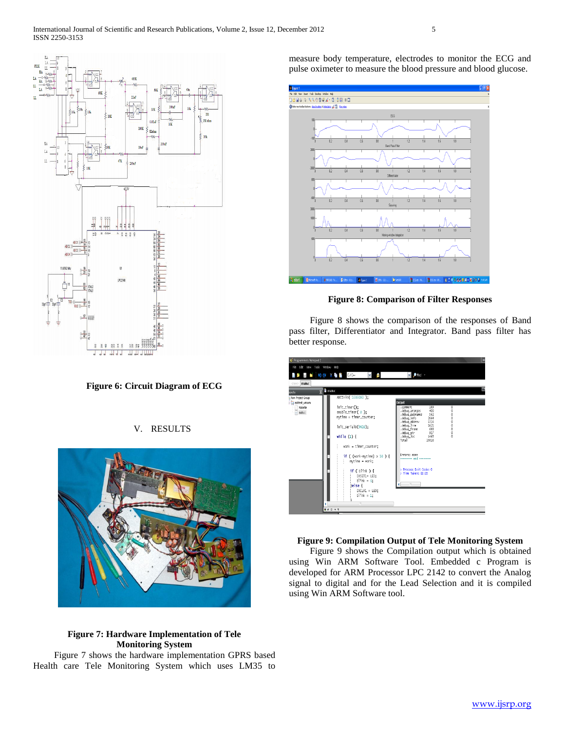

**Figure 6: Circuit Diagram of ECG**

## V. RESULTS



## **Figure 7: Hardware Implementation of Tele Monitoring System**

 Figure 7 shows the hardware implementation GPRS based Health care Tele Monitoring System which uses LM35 to measure body temperature, electrodes to monitor the ECG and pulse oximeter to measure the blood pressure and blood glucose.



## **Figure 8: Comparison of Filter Responses**

 Figure 8 shows the comparison of the responses of Band pass filter, Differentiator and Integrator. Band pass filter has better response.

| ← Programmers Notepad 2                        |                                                                                                                                                                                                                                                                                                                                     |                                                                                                                                                                                                                                                                                                                                                                                                                | c |
|------------------------------------------------|-------------------------------------------------------------------------------------------------------------------------------------------------------------------------------------------------------------------------------------------------------------------------------------------------------------------------------------|----------------------------------------------------------------------------------------------------------------------------------------------------------------------------------------------------------------------------------------------------------------------------------------------------------------------------------------------------------------------------------------------------------------|---|
| File Edit View Tools Window Help               |                                                                                                                                                                                                                                                                                                                                     |                                                                                                                                                                                                                                                                                                                                                                                                                |   |
|                                                | <b>P 图 M IDO X 略略 EYD++</b><br>$\vee$ $\vee$                                                                                                                                                                                                                                                                                        | <b>v</b> Prid v                                                                                                                                                                                                                                                                                                                                                                                                |   |
| main.c<br><new></new>                          |                                                                                                                                                                                                                                                                                                                                     |                                                                                                                                                                                                                                                                                                                                                                                                                |   |
| jects                                          | <b>E</b> main.c                                                                                                                                                                                                                                                                                                                     |                                                                                                                                                                                                                                                                                                                                                                                                                |   |
| New Project Group                              | ADCINIt( 1000000 );                                                                                                                                                                                                                                                                                                                 |                                                                                                                                                                                                                                                                                                                                                                                                                |   |
| <b>Da adctest winarm</b><br>Makefile<br>main.c | init_timer();<br>enable timer(0):<br>mytime = timer_counter;<br>init_serial0(9600);<br>while $(1)$ {<br>$work = timer counter:$<br>if ( (work-mytime) $> 10$ ) {<br>$mvt$ ime = work:<br>$if (b)$ ink) $\{$<br>IOSET1= LED;<br>$b$ link = $0$ :<br>lelse {<br>IOCLR1 = LED:<br>$b$ link = 1:<br>the contract of the contract of the | Output<br>189<br>o<br>.comment<br>ō<br>400<br>.debug_aranges<br>o<br>.debug_pubnames<br>562<br>ō<br>.debug_info<br>2664<br>ō<br>.debug_abbrev<br>1316<br>ō<br>.debug line<br>1621<br>$\ddot{\text{o}}$<br>.debug_frame<br>688<br>o<br>.debug_str<br>917<br>.debug_loc<br>$\theta$<br>1463<br>Total<br>15816<br>Errors: none<br>------- end --------<br>> Process Exit Code: 0<br>> Time Taken: 00:05<br>$\sim$ |   |
|                                                | ■コロ→1                                                                                                                                                                                                                                                                                                                               |                                                                                                                                                                                                                                                                                                                                                                                                                |   |
|                                                |                                                                                                                                                                                                                                                                                                                                     |                                                                                                                                                                                                                                                                                                                                                                                                                |   |

#### **Figure 9: Compilation Output of Tele Monitoring System**

 Figure 9 shows the Compilation output which is obtained using Win ARM Software Tool. Embedded c Program is developed for ARM Processor LPC 2142 to convert the Analog signal to digital and for the Lead Selection and it is compiled using Win ARM Software tool.